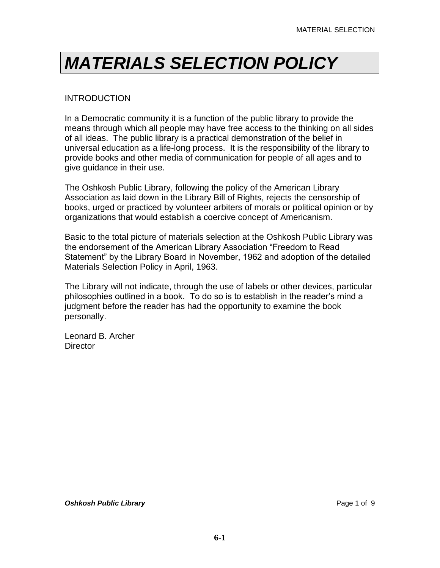#### **INTRODUCTION**

In a Democratic community it is a function of the public library to provide the means through which all people may have free access to the thinking on all sides of all ideas. The public library is a practical demonstration of the belief in universal education as a life-long process. It is the responsibility of the library to provide books and other media of communication for people of all ages and to give guidance in their use.

The Oshkosh Public Library, following the policy of the American Library Association as laid down in the Library Bill of Rights, rejects the censorship of books, urged or practiced by volunteer arbiters of morals or political opinion or by organizations that would establish a coercive concept of Americanism.

Basic to the total picture of materials selection at the Oshkosh Public Library was the endorsement of the American Library Association "Freedom to Read Statement" by the Library Board in November, 1962 and adoption of the detailed Materials Selection Policy in April, 1963.

The Library will not indicate, through the use of labels or other devices, particular philosophies outlined in a book. To do so is to establish in the reader's mind a judgment before the reader has had the opportunity to examine the book personally.

Leonard B. Archer **Director**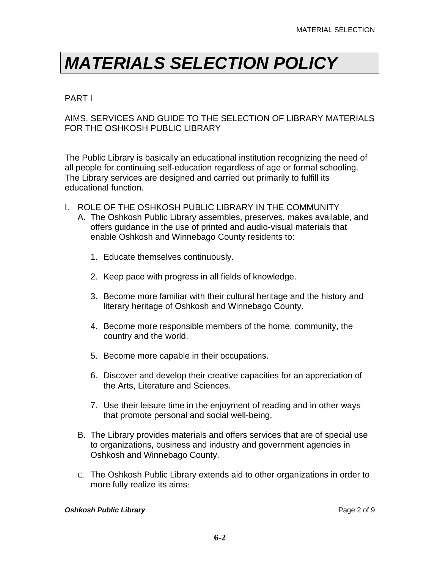#### PART I

#### AIMS, SERVICES AND GUIDE TO THE SELECTION OF LIBRARY MATERIALS FOR THE OSHKOSH PUBLIC LIBRARY

The Public Library is basically an educational institution recognizing the need of all people for continuing self-education regardless of age or formal schooling. The Library services are designed and carried out primarily to fulfill its educational function.

- I. ROLE OF THE OSHKOSH PUBLIC LIBRARY IN THE COMMUNITY
	- A. The Oshkosh Public Library assembles, preserves, makes available, and offers guidance in the use of printed and audio-visual materials that enable Oshkosh and Winnebago County residents to:
		- 1. Educate themselves continuously.
		- 2. Keep pace with progress in all fields of knowledge.
		- 3. Become more familiar with their cultural heritage and the history and literary heritage of Oshkosh and Winnebago County.
		- 4. Become more responsible members of the home, community, the country and the world.
		- 5. Become more capable in their occupations.
		- 6. Discover and develop their creative capacities for an appreciation of the Arts, Literature and Sciences.
		- 7. Use their leisure time in the enjoyment of reading and in other ways that promote personal and social well-being.
	- B. The Library provides materials and offers services that are of special use to organizations, business and industry and government agencies in Oshkosh and Winnebago County.
	- C. The Oshkosh Public Library extends aid to other organizations in order to more fully realize its aims: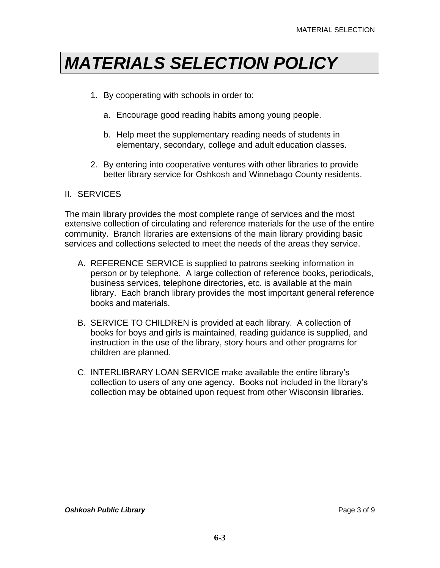- 1. By cooperating with schools in order to:
	- a. Encourage good reading habits among young people.
	- b. Help meet the supplementary reading needs of students in elementary, secondary, college and adult education classes.
- 2. By entering into cooperative ventures with other libraries to provide better library service for Oshkosh and Winnebago County residents.

#### II. SERVICES

The main library provides the most complete range of services and the most extensive collection of circulating and reference materials for the use of the entire community. Branch libraries are extensions of the main library providing basic services and collections selected to meet the needs of the areas they service.

- A. REFERENCE SERVICE is supplied to patrons seeking information in person or by telephone. A large collection of reference books, periodicals, business services, telephone directories, etc. is available at the main library. Each branch library provides the most important general reference books and materials.
- B. SERVICE TO CHILDREN is provided at each library. A collection of books for boys and girls is maintained, reading guidance is supplied, and instruction in the use of the library, story hours and other programs for children are planned.
- C. INTERLIBRARY LOAN SERVICE make available the entire library's collection to users of any one agency. Books not included in the library's collection may be obtained upon request from other Wisconsin libraries.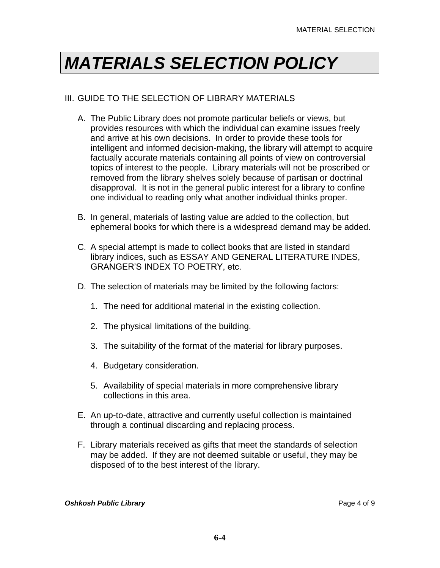#### III. GUIDE TO THE SELECTION OF LIBRARY MATERIALS

- A. The Public Library does not promote particular beliefs or views, but provides resources with which the individual can examine issues freely and arrive at his own decisions. In order to provide these tools for intelligent and informed decision-making, the library will attempt to acquire factually accurate materials containing all points of view on controversial topics of interest to the people. Library materials will not be proscribed or removed from the library shelves solely because of partisan or doctrinal disapproval. It is not in the general public interest for a library to confine one individual to reading only what another individual thinks proper.
- B. In general, materials of lasting value are added to the collection, but ephemeral books for which there is a widespread demand may be added.
- C. A special attempt is made to collect books that are listed in standard library indices, such as ESSAY AND GENERAL LITERATURE INDES, GRANGER'S INDEX TO POETRY, etc.
- D. The selection of materials may be limited by the following factors:
	- 1. The need for additional material in the existing collection.
	- 2. The physical limitations of the building.
	- 3. The suitability of the format of the material for library purposes.
	- 4. Budgetary consideration.
	- 5. Availability of special materials in more comprehensive library collections in this area.
- E. An up-to-date, attractive and currently useful collection is maintained through a continual discarding and replacing process.
- F. Library materials received as gifts that meet the standards of selection may be added. If they are not deemed suitable or useful, they may be disposed of to the best interest of the library.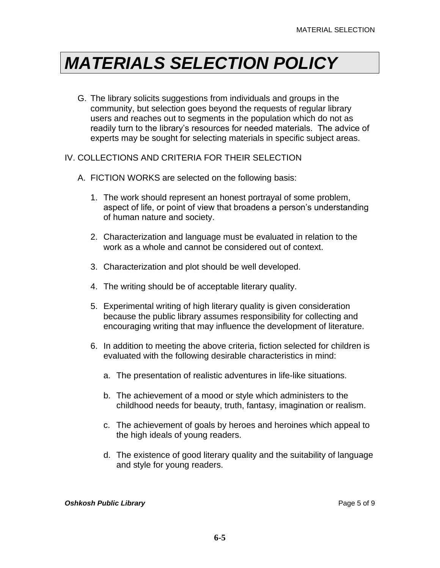G. The library solicits suggestions from individuals and groups in the community, but selection goes beyond the requests of regular library users and reaches out to segments in the population which do not as readily turn to the library's resources for needed materials. The advice of experts may be sought for selecting materials in specific subject areas.

#### IV. COLLECTIONS AND CRITERIA FOR THEIR SELECTION

- A. FICTION WORKS are selected on the following basis:
	- 1. The work should represent an honest portrayal of some problem, aspect of life, or point of view that broadens a person's understanding of human nature and society.
	- 2. Characterization and language must be evaluated in relation to the work as a whole and cannot be considered out of context.
	- 3. Characterization and plot should be well developed.
	- 4. The writing should be of acceptable literary quality.
	- 5. Experimental writing of high literary quality is given consideration because the public library assumes responsibility for collecting and encouraging writing that may influence the development of literature.
	- 6. In addition to meeting the above criteria, fiction selected for children is evaluated with the following desirable characteristics in mind:
		- a. The presentation of realistic adventures in life-like situations.
		- b. The achievement of a mood or style which administers to the childhood needs for beauty, truth, fantasy, imagination or realism.
		- c. The achievement of goals by heroes and heroines which appeal to the high ideals of young readers.
		- d. The existence of good literary quality and the suitability of language and style for young readers.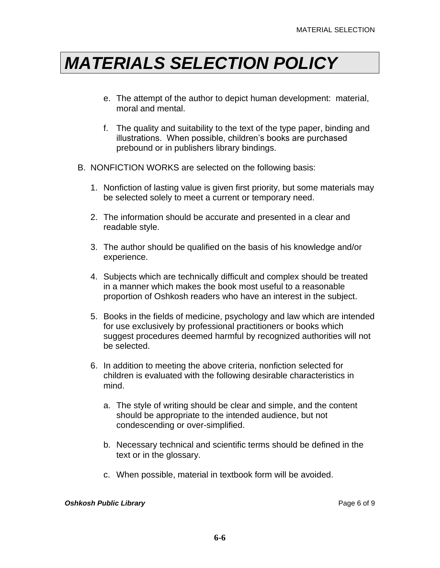- e. The attempt of the author to depict human development: material, moral and mental.
- f. The quality and suitability to the text of the type paper, binding and illustrations. When possible, children's books are purchased prebound or in publishers library bindings.
- B. NONFICTION WORKS are selected on the following basis:
	- 1. Nonfiction of lasting value is given first priority, but some materials may be selected solely to meet a current or temporary need.
	- 2. The information should be accurate and presented in a clear and readable style.
	- 3. The author should be qualified on the basis of his knowledge and/or experience.
	- 4. Subjects which are technically difficult and complex should be treated in a manner which makes the book most useful to a reasonable proportion of Oshkosh readers who have an interest in the subject.
	- 5. Books in the fields of medicine, psychology and law which are intended for use exclusively by professional practitioners or books which suggest procedures deemed harmful by recognized authorities will not be selected.
	- 6. In addition to meeting the above criteria, nonfiction selected for children is evaluated with the following desirable characteristics in mind.
		- a. The style of writing should be clear and simple, and the content should be appropriate to the intended audience, but not condescending or over-simplified.
		- b. Necessary technical and scientific terms should be defined in the text or in the glossary.
		- c. When possible, material in textbook form will be avoided.

#### **Oshkosh Public Library Page 6 of 9 Page 6 of 9 Page 6 of 9**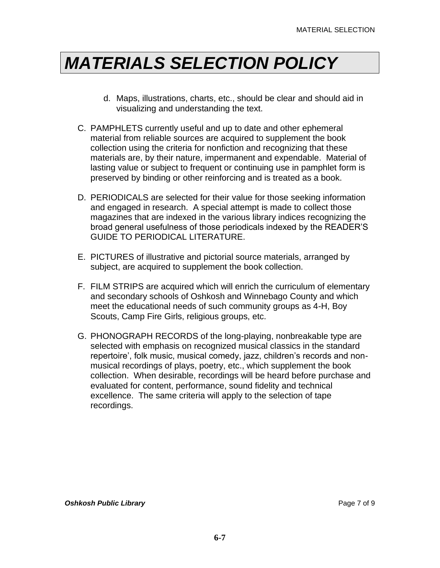- d. Maps, illustrations, charts, etc., should be clear and should aid in visualizing and understanding the text.
- C. PAMPHLETS currently useful and up to date and other ephemeral material from reliable sources are acquired to supplement the book collection using the criteria for nonfiction and recognizing that these materials are, by their nature, impermanent and expendable. Material of lasting value or subject to frequent or continuing use in pamphlet form is preserved by binding or other reinforcing and is treated as a book.
- D. PERIODICALS are selected for their value for those seeking information and engaged in research. A special attempt is made to collect those magazines that are indexed in the various library indices recognizing the broad general usefulness of those periodicals indexed by the READER'S GUIDE TO PERIODICAL LITERATURE.
- E. PICTURES of illustrative and pictorial source materials, arranged by subject, are acquired to supplement the book collection.
- F. FILM STRIPS are acquired which will enrich the curriculum of elementary and secondary schools of Oshkosh and Winnebago County and which meet the educational needs of such community groups as 4-H, Boy Scouts, Camp Fire Girls, religious groups, etc.
- G. PHONOGRAPH RECORDS of the long-playing, nonbreakable type are selected with emphasis on recognized musical classics in the standard repertoire', folk music, musical comedy, jazz, children's records and nonmusical recordings of plays, poetry, etc., which supplement the book collection. When desirable, recordings will be heard before purchase and evaluated for content, performance, sound fidelity and technical excellence. The same criteria will apply to the selection of tape recordings.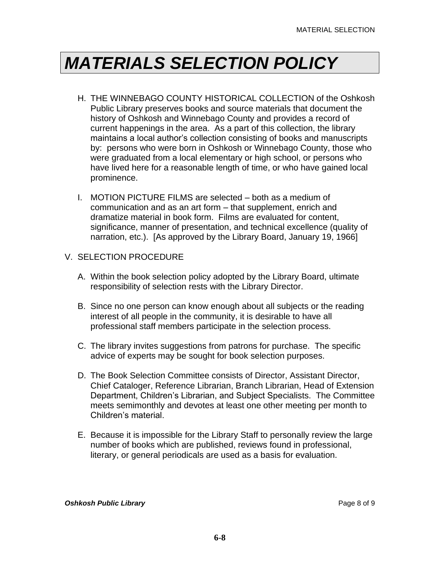- H. THE WINNEBAGO COUNTY HISTORICAL COLLECTION of the Oshkosh Public Library preserves books and source materials that document the history of Oshkosh and Winnebago County and provides a record of current happenings in the area. As a part of this collection, the library maintains a local author's collection consisting of books and manuscripts by: persons who were born in Oshkosh or Winnebago County, those who were graduated from a local elementary or high school, or persons who have lived here for a reasonable length of time, or who have gained local prominence.
- I. MOTION PICTURE FILMS are selected both as a medium of communication and as an art form – that supplement, enrich and dramatize material in book form. Films are evaluated for content, significance, manner of presentation, and technical excellence (quality of narration, etc.). [As approved by the Library Board, January 19, 1966]

#### V. SELECTION PROCEDURE

- A. Within the book selection policy adopted by the Library Board, ultimate responsibility of selection rests with the Library Director.
- B. Since no one person can know enough about all subjects or the reading interest of all people in the community, it is desirable to have all professional staff members participate in the selection process.
- C. The library invites suggestions from patrons for purchase. The specific advice of experts may be sought for book selection purposes.
- D. The Book Selection Committee consists of Director, Assistant Director, Chief Cataloger, Reference Librarian, Branch Librarian, Head of Extension Department, Children's Librarian, and Subject Specialists. The Committee meets semimonthly and devotes at least one other meeting per month to Children's material.
- E. Because it is impossible for the Library Staff to personally review the large number of books which are published, reviews found in professional, literary, or general periodicals are used as a basis for evaluation.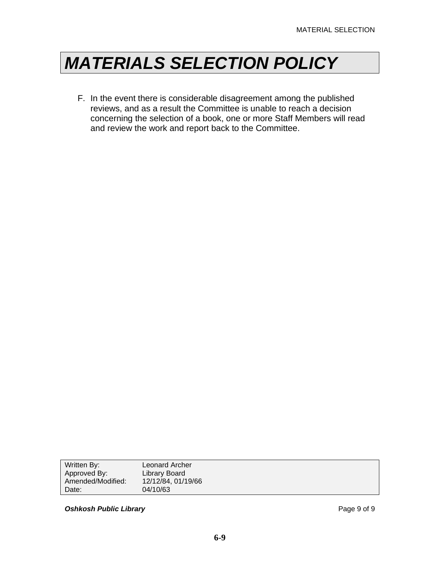F. In the event there is considerable disagreement among the published reviews, and as a result the Committee is unable to reach a decision concerning the selection of a book, one or more Staff Members will read and review the work and report back to the Committee.

| Written By:       | Leonard Archer     |
|-------------------|--------------------|
| Approved By:      | Library Board      |
| Amended/Modified: | 12/12/84, 01/19/66 |
| Date:             | 04/10/63           |
|                   |                    |

**Oshkosh Public Library Page 9 of 9 Page 9 of 9**